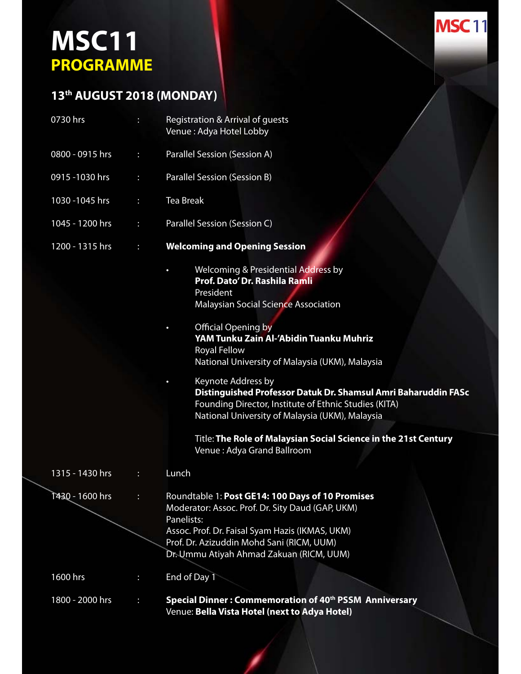## **MSC11 PROGRAMME**

## **13th AUGUST 2018 (MONDAY)**

| 0730 hrs        | ÷ | Registration & Arrival of guests<br>Venue: Adya Hotel Lobby                                                                                                                                                                                                                                                                                                                                                                                                                                                                                                                                                                   |  |
|-----------------|---|-------------------------------------------------------------------------------------------------------------------------------------------------------------------------------------------------------------------------------------------------------------------------------------------------------------------------------------------------------------------------------------------------------------------------------------------------------------------------------------------------------------------------------------------------------------------------------------------------------------------------------|--|
| 0800 - 0915 hrs | ÷ | Parallel Session (Session A)                                                                                                                                                                                                                                                                                                                                                                                                                                                                                                                                                                                                  |  |
| 0915 - 1030 hrs | ÷ | Parallel Session (Session B)                                                                                                                                                                                                                                                                                                                                                                                                                                                                                                                                                                                                  |  |
| 1030 - 1045 hrs | Н | <b>Tea Break</b>                                                                                                                                                                                                                                                                                                                                                                                                                                                                                                                                                                                                              |  |
| 1045 - 1200 hrs | ÷ | Parallel Session (Session C)                                                                                                                                                                                                                                                                                                                                                                                                                                                                                                                                                                                                  |  |
| 1200 - 1315 hrs | ÷ | <b>Welcoming and Opening Session</b>                                                                                                                                                                                                                                                                                                                                                                                                                                                                                                                                                                                          |  |
|                 |   | <b>Welcoming &amp; Presidential Address by</b><br>$\bullet$<br>Prof. Dato' Dr. Rashila Ramli<br>President<br><b>Malaysian Social Science Association</b><br><b>Official Opening by</b><br>$\bullet$<br>YAM Tunku Zain Al-'Abidin Tuanku Muhriz<br><b>Royal Fellow</b><br>National University of Malaysia (UKM), Malaysia<br>Keynote Address by<br>Distinguished Professor Datuk Dr. Shamsul Amri Baharuddin FASc<br>Founding Director, Institute of Ethnic Studies (KITA)<br>National University of Malaysia (UKM), Malaysia<br>Title: The Role of Malaysian Social Science in the 21st Century<br>Venue: Adya Grand Ballroom |  |
| 1315 - 1430 hrs | ÷ | Lunch                                                                                                                                                                                                                                                                                                                                                                                                                                                                                                                                                                                                                         |  |
| 1430 - 1600 hrs |   | Roundtable 1: Post GE14: 100 Days of 10 Promises<br>Moderator: Assoc. Prof. Dr. Sity Daud (GAP, UKM)<br>Panelists:<br>Assoc. Prof. Dr. Faisal Syam Hazis (IKMAS, UKM)<br>Prof. Dr. Azizuddin Mohd Sani (RICM, UUM)<br>Dr. Ummu Atiyah Ahmad Zakuan (RICM, UUM)                                                                                                                                                                                                                                                                                                                                                                |  |
| 1600 hrs        | ÷ | End of Day 1                                                                                                                                                                                                                                                                                                                                                                                                                                                                                                                                                                                                                  |  |
| 1800 - 2000 hrs | н | Special Dinner: Commemoration of 40th PSSM Anniversary<br>Venue: Bella Vista Hotel (next to Adya Hotel)                                                                                                                                                                                                                                                                                                                                                                                                                                                                                                                       |  |
|                 |   |                                                                                                                                                                                                                                                                                                                                                                                                                                                                                                                                                                                                                               |  |

**MSC11**